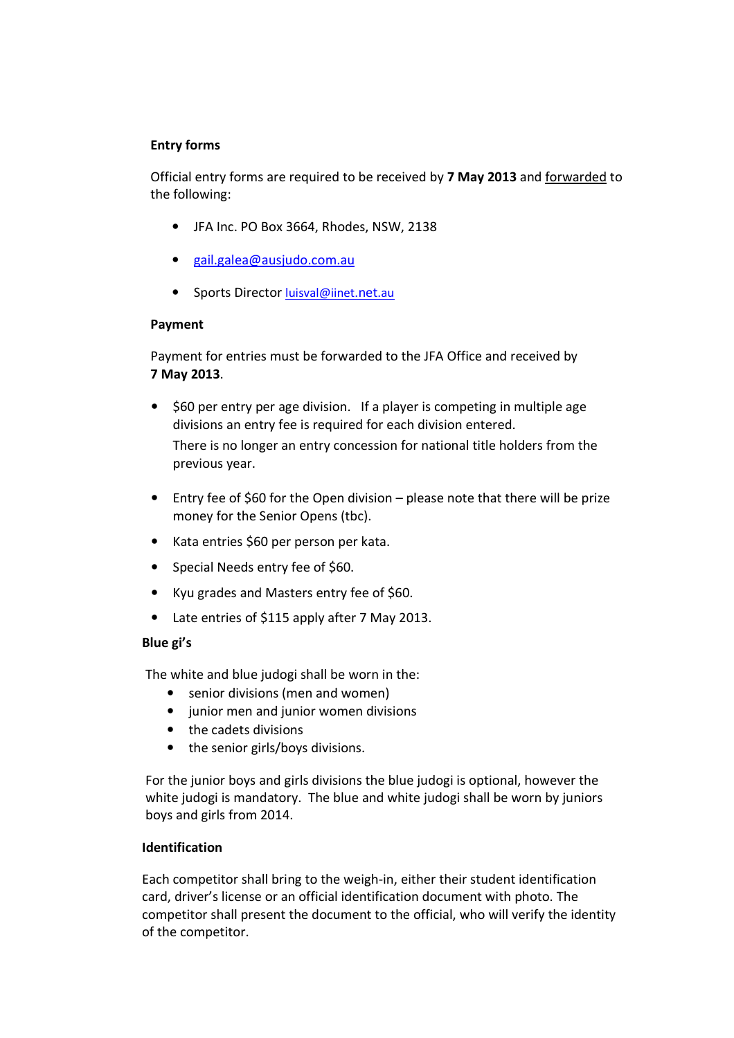### Entry forms

Official entry forms are required to be received by 7 May 2013 and forwarded to the following:

- JFA Inc. PO Box 3664, Rhodes, NSW, 2138
- gail.galea@ausjudo.com.au
- Sports Director luisval@iinet.net.au

### Payment

Payment for entries must be forwarded to the JFA Office and received by 7 May 2013.

- \$60 per entry per age division. If a player is competing in multiple age divisions an entry fee is required for each division entered. There is no longer an entry concession for national title holders from the previous year.
- Entry fee of \$60 for the Open division please note that there will be prize money for the Senior Opens (tbc).
- Kata entries \$60 per person per kata.
- Special Needs entry fee of \$60.
- Kyu grades and Masters entry fee of \$60.
- Late entries of \$115 apply after 7 May 2013.

### Blue gi's

The white and blue judogi shall be worn in the:

- senior divisions (men and women)
- junior men and junior women divisions
- the cadets divisions
- the senior girls/boys divisions.

For the junior boys and girls divisions the blue judogi is optional, however the white judogi is mandatory. The blue and white judogi shall be worn by juniors boys and girls from 2014.

### Identification

Each competitor shall bring to the weigh-in, either their student identification card, driver's license or an official identification document with photo. The competitor shall present the document to the official, who will verify the identity of the competitor.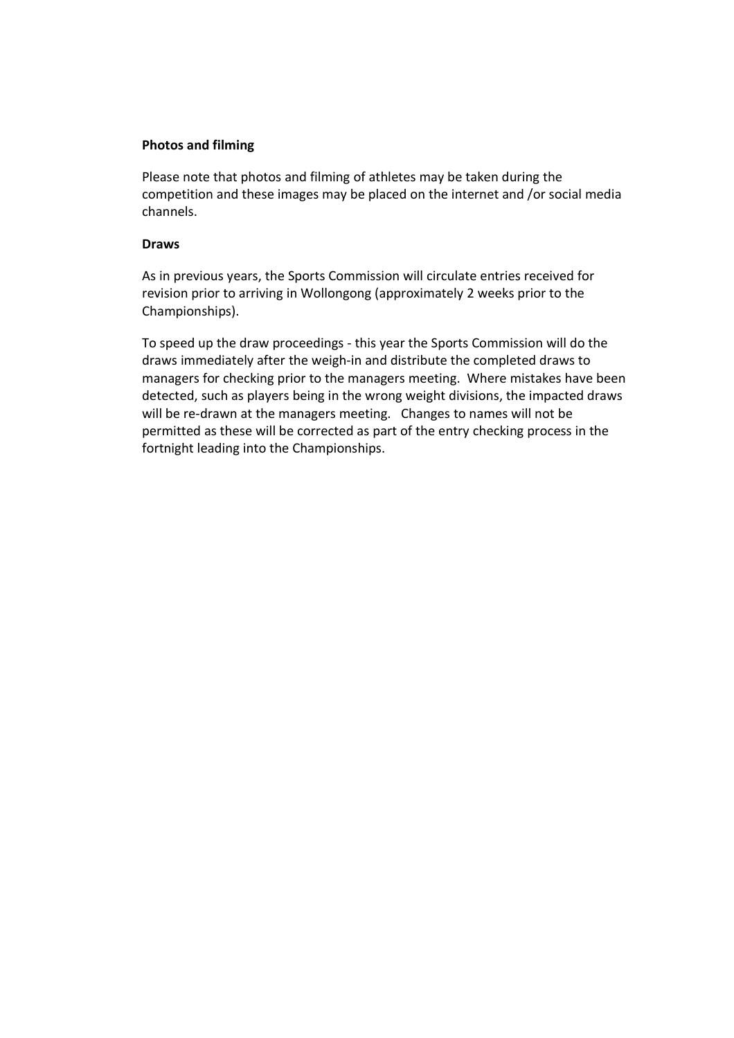#### Photos and filming

Please note that photos and filming of athletes may be taken during the competition and these images may be placed on the internet and /or social media channels.

#### Draws

As in previous years, the Sports Commission will circulate entries received for revision prior to arriving in Wollongong (approximately 2 weeks prior to the Championships).

To speed up the draw proceedings - this year the Sports Commission will do the draws immediately after the weigh-in and distribute the completed draws to managers for checking prior to the managers meeting. Where mistakes have been detected, such as players being in the wrong weight divisions, the impacted draws will be re-drawn at the managers meeting. Changes to names will not be permitted as these will be corrected as part of the entry checking process in the fortnight leading into the Championships.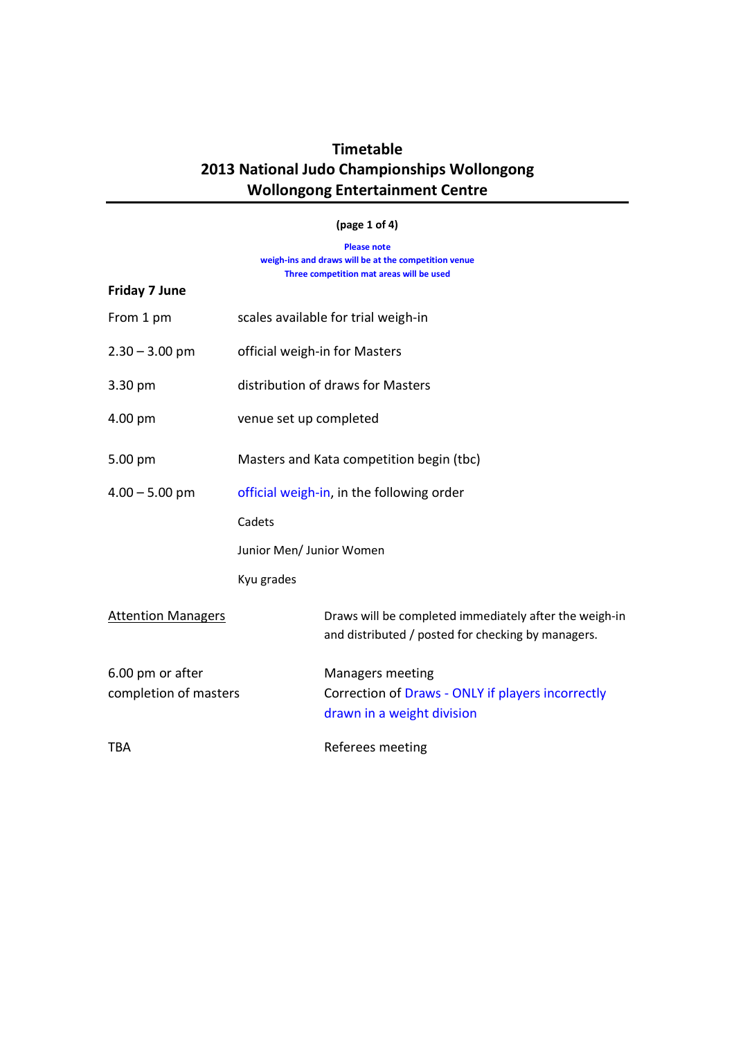#### (page 1 of 4)

Please note weigh-ins and draws will be at the competition venue Three competition mat areas will be used

| <b>Friday 7 June</b>      |                                           |                                                                                                              |  |  |  |
|---------------------------|-------------------------------------------|--------------------------------------------------------------------------------------------------------------|--|--|--|
| From 1 pm                 | scales available for trial weigh-in       |                                                                                                              |  |  |  |
| $2.30 - 3.00$ pm          | official weigh-in for Masters             |                                                                                                              |  |  |  |
| 3.30 pm                   | distribution of draws for Masters         |                                                                                                              |  |  |  |
| 4.00 pm                   | venue set up completed                    |                                                                                                              |  |  |  |
| 5.00 pm                   | Masters and Kata competition begin (tbc)  |                                                                                                              |  |  |  |
| $4.00 - 5.00$ pm          | official weigh-in, in the following order |                                                                                                              |  |  |  |
|                           | Cadets                                    |                                                                                                              |  |  |  |
|                           | Junior Men/ Junior Women                  |                                                                                                              |  |  |  |
|                           | Kyu grades                                |                                                                                                              |  |  |  |
| <b>Attention Managers</b> |                                           | Draws will be completed immediately after the weigh-in<br>and distributed / posted for checking by managers. |  |  |  |
| 6.00 pm or after          |                                           | Managers meeting                                                                                             |  |  |  |
| completion of masters     |                                           | Correction of Draws - ONLY if players incorrectly<br>drawn in a weight division                              |  |  |  |
| TBA                       |                                           | Referees meeting                                                                                             |  |  |  |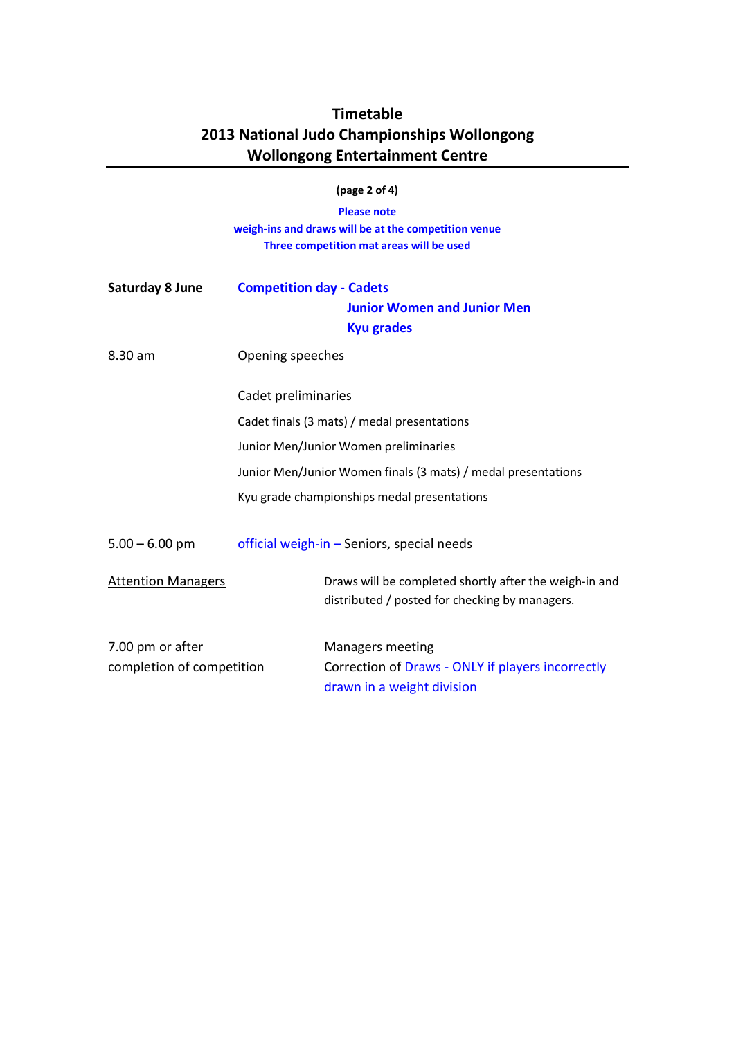|                                               |                                                                                            | (page $2$ of $4$ )                                                                                                     |  |  |  |
|-----------------------------------------------|--------------------------------------------------------------------------------------------|------------------------------------------------------------------------------------------------------------------------|--|--|--|
|                                               |                                                                                            | <b>Please note</b><br>weigh-ins and draws will be at the competition venue<br>Three competition mat areas will be used |  |  |  |
| <b>Saturday 8 June</b>                        | <b>Competition day - Cadets</b><br><b>Junior Women and Junior Men</b><br><b>Kyu grades</b> |                                                                                                                        |  |  |  |
| 8.30 am                                       | Opening speeches<br>Cadet preliminaries<br>Cadet finals (3 mats) / medal presentations     |                                                                                                                        |  |  |  |
|                                               |                                                                                            |                                                                                                                        |  |  |  |
|                                               |                                                                                            |                                                                                                                        |  |  |  |
|                                               | Junior Men/Junior Women preliminaries                                                      |                                                                                                                        |  |  |  |
|                                               | Junior Men/Junior Women finals (3 mats) / medal presentations                              |                                                                                                                        |  |  |  |
|                                               | Kyu grade championships medal presentations                                                |                                                                                                                        |  |  |  |
| $5.00 - 6.00$ pm                              | official weigh-in - Seniors, special needs                                                 |                                                                                                                        |  |  |  |
| <b>Attention Managers</b>                     |                                                                                            | Draws will be completed shortly after the weigh-in and<br>distributed / posted for checking by managers.               |  |  |  |
| 7.00 pm or after<br>completion of competition |                                                                                            | <b>Managers meeting</b><br>Correction of Draws - ONLY if players incorrectly                                           |  |  |  |
|                                               |                                                                                            | drawn in a weight division                                                                                             |  |  |  |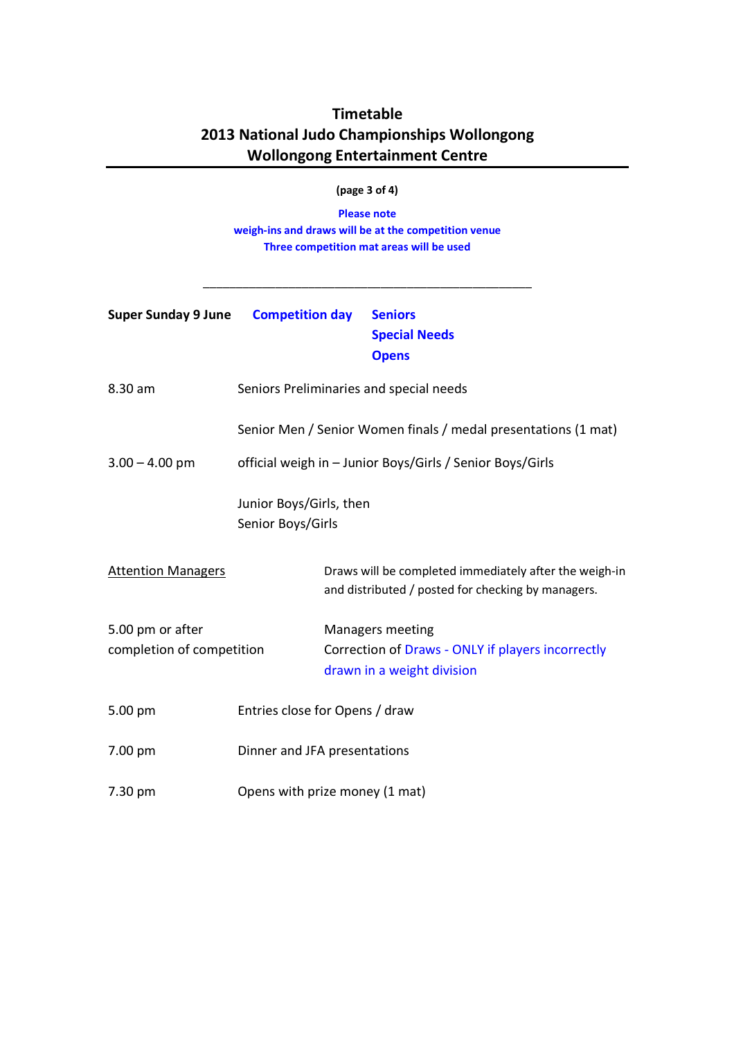#### (page 3 of 4)

Please note weigh-ins and draws will be at the competition venue Three competition mat areas will be used

\_\_\_\_\_\_\_\_\_\_\_\_\_\_\_\_\_\_\_\_\_\_\_\_\_\_\_\_\_\_\_\_\_\_\_\_\_\_\_\_\_\_\_\_\_\_\_\_\_\_

| <b>Super Sunday 9 June</b>                    | <b>Competition day</b>                                    |  | <b>Seniors</b><br><b>Special Needs</b><br><b>Opens</b>                                                       |  |
|-----------------------------------------------|-----------------------------------------------------------|--|--------------------------------------------------------------------------------------------------------------|--|
| 8.30 am                                       |                                                           |  | Seniors Preliminaries and special needs                                                                      |  |
|                                               |                                                           |  | Senior Men / Senior Women finals / medal presentations (1 mat)                                               |  |
| $3.00 - 4.00$ pm                              | official weigh in - Junior Boys/Girls / Senior Boys/Girls |  |                                                                                                              |  |
|                                               | Junior Boys/Girls, then<br>Senior Boys/Girls              |  |                                                                                                              |  |
| <b>Attention Managers</b>                     |                                                           |  | Draws will be completed immediately after the weigh-in<br>and distributed / posted for checking by managers. |  |
| 5.00 pm or after<br>completion of competition |                                                           |  | Managers meeting<br>Correction of Draws - ONLY if players incorrectly<br>drawn in a weight division          |  |
| 5.00 pm                                       | Entries close for Opens / draw                            |  |                                                                                                              |  |
| 7.00 pm                                       | Dinner and JFA presentations                              |  |                                                                                                              |  |
| 7.30 pm                                       | Opens with prize money (1 mat)                            |  |                                                                                                              |  |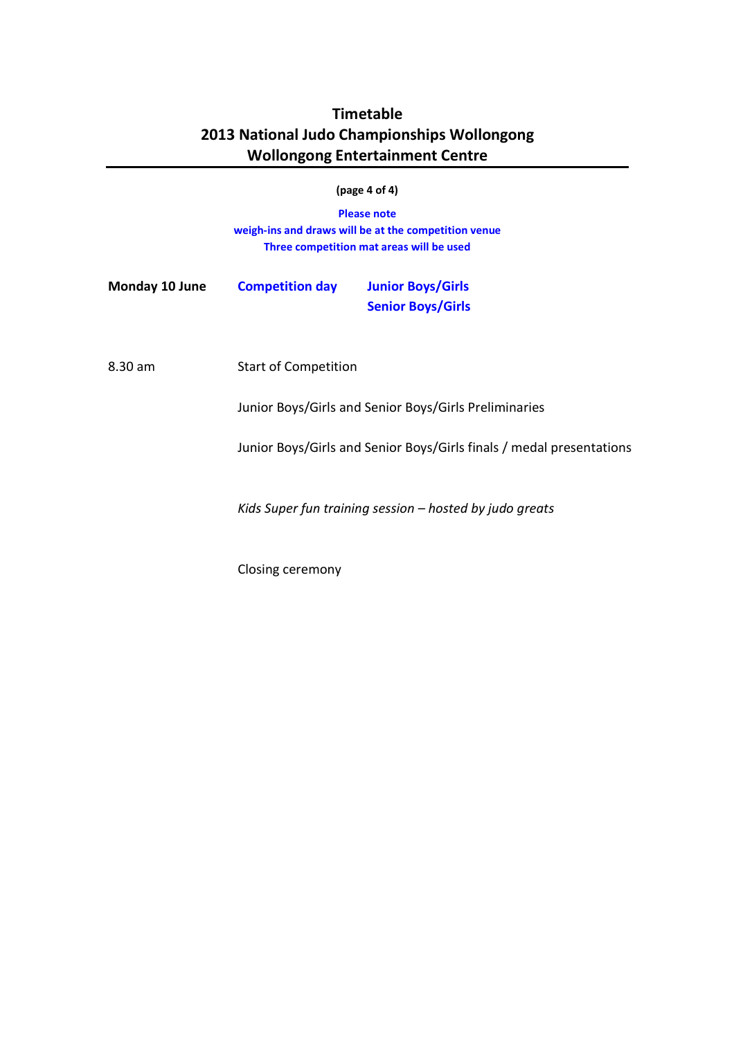| <b>Please note</b><br>weigh-ins and draws will be at the competition venue<br>Three competition mat areas will be used |                                                                                                                                                                                            |  |  |  |  |  |  |
|------------------------------------------------------------------------------------------------------------------------|--------------------------------------------------------------------------------------------------------------------------------------------------------------------------------------------|--|--|--|--|--|--|
|                                                                                                                        | <b>Junior Boys/Girls</b><br><b>Senior Boys/Girls</b>                                                                                                                                       |  |  |  |  |  |  |
|                                                                                                                        | Junior Boys/Girls and Senior Boys/Girls Preliminaries<br>Junior Boys/Girls and Senior Boys/Girls finals / medal presentations<br>Kids Super fun training session $-$ hosted by judo greats |  |  |  |  |  |  |
|                                                                                                                        | <b>Competition day</b><br><b>Start of Competition</b>                                                                                                                                      |  |  |  |  |  |  |

Closing ceremony